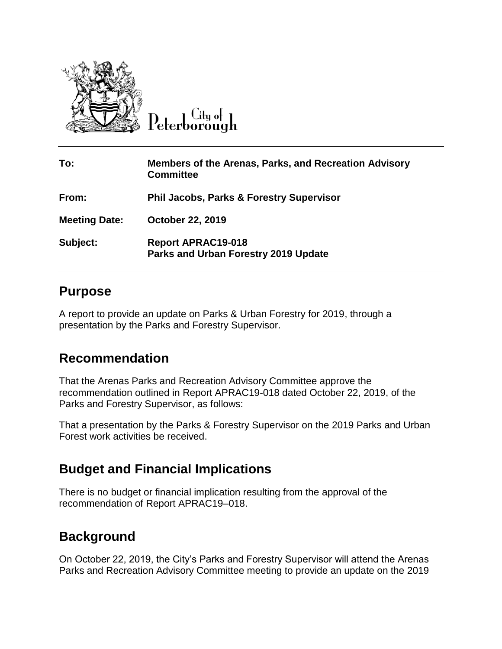

 $C$ ity of Peterborough

| To:                  | <b>Members of the Arenas, Parks, and Recreation Advisory</b><br><b>Committee</b> |
|----------------------|----------------------------------------------------------------------------------|
| From:                | <b>Phil Jacobs, Parks &amp; Forestry Supervisor</b>                              |
| <b>Meeting Date:</b> | October 22, 2019                                                                 |
| Subject:             | <b>Report APRAC19-018</b><br><b>Parks and Urban Forestry 2019 Update</b>         |

## **Purpose**

A report to provide an update on Parks & Urban Forestry for 2019, through a presentation by the Parks and Forestry Supervisor.

## **Recommendation**

That the Arenas Parks and Recreation Advisory Committee approve the recommendation outlined in Report APRAC19-018 dated October 22, 2019, of the Parks and Forestry Supervisor, as follows:

That a presentation by the Parks & Forestry Supervisor on the 2019 Parks and Urban Forest work activities be received.

## **Budget and Financial Implications**

There is no budget or financial implication resulting from the approval of the recommendation of Report APRAC19–018.

## **Background**

On October 22, 2019, the City's Parks and Forestry Supervisor will attend the Arenas Parks and Recreation Advisory Committee meeting to provide an update on the 2019